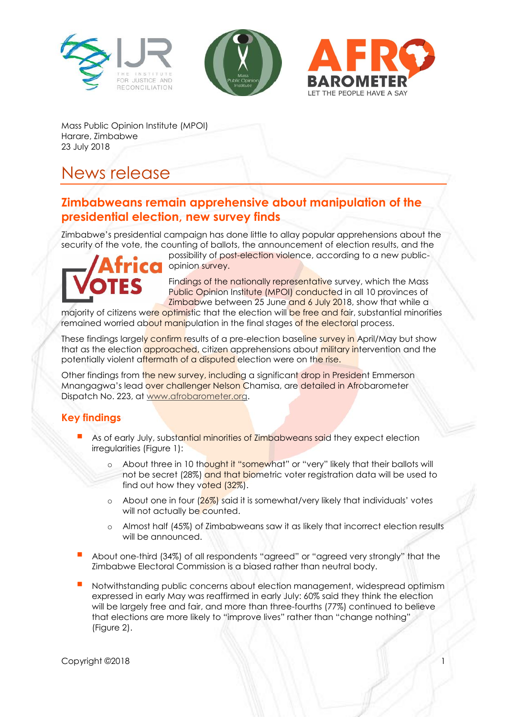





Mass Public Opinion Institute (MPOI) Harare, Zimbabwe 23 July 2018

# News release

# **Zimbabweans remain apprehensive about manipulation of the presidential election, new survey finds**

Zimbabwe's presidential campaign has done little to allay popular apprehensions about the security of the vote, the counting of ballots, the announcement of election results, and the



possibility of post-election violence, according to a new publicopinion survey.

Findings of the nationally representative survey, which the Mass Public Opinion Institute (MPOI) conducted in all 10 provinces of Zimbabwe between 25 June and 6 July 2018, show that while a

majority of citizens were optimistic that the election will be free and fair, substantial minorities remained worried about manipulation in the final stages of the electoral process.

These findings largely confirm results of a pre-election baseline survey in April/May but show that as the election approached, citizen apprehensions about military intervention and the potentially violent aftermath of a disputed election were on the rise.

Other findings from the new survey, including a significant drop in President Emmerson Mnangagwa's lead over challenger Nelson Chamisa, are detailed in Afrobarometer Dispatch No. 223, at [www.afrobarometer.org.](http://www.afrobarometer.org/)

## **Key findings**

- As of early July, substantial minorities of Zimbabweans said they expect election irregularities (Figure 1):
	- About three in 10 thought it "somewhat" or "very" likely that their ballots will not be secret (28%) and that biometric voter registration data will be used to find out how they voted (32%).
	- o About one in four  $(26\%)$  said it is somewhat/very likely that individuals' votes will not actually be counted.
	- o Almost half (45%) of Zimbabweans saw it as likely that incorrect election results will be announced.
- About one-third (34%) of all respondents "agreed" or "agreed very strongly" that the Zimbabwe Electoral Commission is a biased rather than neutral body.
- Notwithstanding public concerns about election management, widespread optimism expressed in early May was reaffirmed in early July: 60% said they think the election will be largely free and fair, and more than three-fourths (77%) continued to believe that elections are more likely to "improve lives" rather than "change nothing" (Figure 2).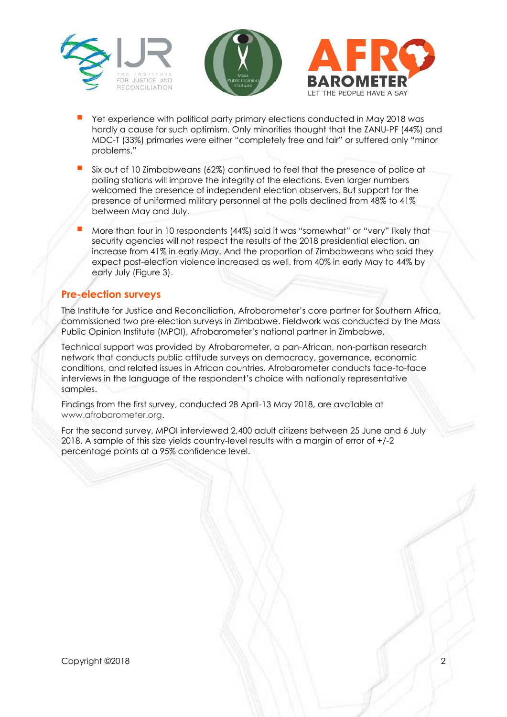





- Yet experience with political party primary elections conducted in May 2018 was hardly a cause for such optimism. Only minorities thought that the ZANU-PF (44%) and MDC-T (33%) primaries were either "completely free and fair" or suffered only "minor problems."
- Six out of 10 Zimbabweans (62%) continued to feel that the presence of police at polling stations will improve the integrity of the elections. Even larger numbers welcomed the presence of independent election observers. But support for the presence of uniformed military personnel at the polls declined from 48% to 41% between May and July.
- More than four in 10 respondents (44%) said it was "somewhat" or "very" likely that security agencies will not respect the results of the 2018 presidential election, an increase from 41% in early May. And the proportion of Zimbabweans who said they expect post-election violence increased as well, from 40% in early May to 44% by early July (Figure 3).

#### **Pre-election surveys**

The Institute for Justice and Reconciliation, Afrobarometer's core partner for Southern Africa, commissioned two pre-election surveys in Zimbabwe. Fieldwork was conducted by the Mass Public Opinion Institute (MPOI), Afrobarometer's national partner in Zimbabwe.

Technical support was provided by Afrobarometer, a pan-African, non-partisan research network that conducts public attitude surveys on democracy, governance, economic conditions, and related issues in African countries. Afrobarometer conducts face-to-face interviews in the language of the respondent's choice with nationally representative samples.

Findings from the first survey, conducted 28 April-13 May 2018, are available at [www.afrobarometer.org.](file:///C:/Users/BrianHoward/Documents/Afrobarometer/Edit/Zimbabwe/R7.5%20pre-election%20survey/Survey%202-june18/www.afrobarometer.org)

For the second survey, MPOI interviewed 2,400 adult citizens between 25 June and 6 July 2018. A sample of this size yields country-level results with a margin of error of +/-2 percentage points at a 95% confidence level.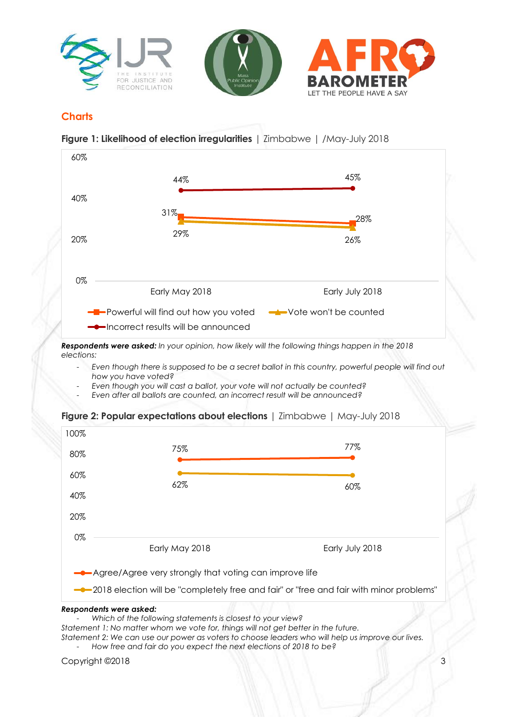

### **Charts**

**Figure 1: Likelihood of election irregularities** | Zimbabwe | /May-July 2018



*Respondents were asked: In your opinion, how likely will the following things happen in the 2018 elections:*

- *Even though there is supposed to be a secret ballot in this country, powerful people will find out how you have voted?*
- *Even though you will cast a ballot, your vote will not actually be counted?*
- *Even after all ballots are counted, an incorrect result will be announced?*





- *Which of the following statements is closest to your view?*

*Statement 1: No matter whom we vote for, things will not get better in the future. Statement 2: We can use our power as voters to choose leaders who will help us improve our lives.*  - *How free and fair do you expect the next elections of 2018 to be?*

Copyright ©2018 3